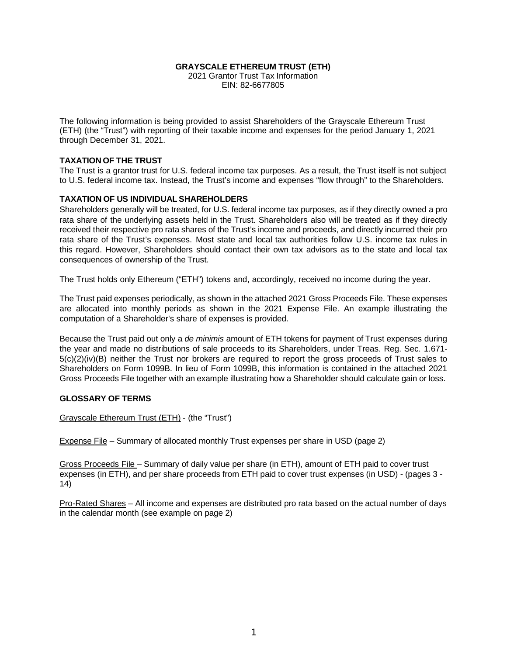### **GRAYSCALE ETHEREUM TRUST (ETH)**

2021 Grantor Trust Tax Information EIN: 82-6677805

The following information is being provided to assist Shareholders of the Grayscale Ethereum Trust (ETH) (the "Trust") with reporting of their taxable income and expenses for the period January 1, 2021 through December 31, 2021.

### **TAXATION OF THE TRUST**

The Trust is a grantor trust for U.S. federal income tax purposes. As a result, the Trust itself is not subject to U.S. federal income tax. Instead, the Trust's income and expenses "flow through" to the Shareholders.

### **TAXATION OF US INDIVIDUAL SHAREHOLDERS**

Shareholders generally will be treated, for U.S. federal income tax purposes, as if they directly owned a pro rata share of the underlying assets held in the Trust. Shareholders also will be treated as if they directly received their respective pro rata shares of the Trust's income and proceeds, and directly incurred their pro rata share of the Trust's expenses. Most state and local tax authorities follow U.S. income tax rules in this regard. However, Shareholders should contact their own tax advisors as to the state and local tax consequences of ownership of the Trust.

The Trust holds only Ethereum ("ETH") tokens and, accordingly, received no income during the year.

The Trust paid expenses periodically, as shown in the attached 2021 Gross Proceeds File. These expenses are allocated into monthly periods as shown in the 2021 Expense File. An example illustrating the computation of a Shareholder's share of expenses is provided.

Because the Trust paid out only a *de minimis* amount of ETH tokens for payment of Trust expenses during the year and made no distributions of sale proceeds to its Shareholders, under Treas. Reg. Sec. 1.671- 5(c)(2)(iv)(B) neither the Trust nor brokers are required to report the gross proceeds of Trust sales to Shareholders on Form 1099B. In lieu of Form 1099B, this information is contained in the attached 2021 Gross Proceeds File together with an example illustrating how a Shareholder should calculate gain or loss.

### **GLOSSARY OF TERMS**

Grayscale Ethereum Trust (ETH) - (the "Trust")

Expense File – Summary of allocated monthly Trust expenses per share in USD (page 2)

Gross Proceeds File – Summary of daily value per share (in ETH), amount of ETH paid to cover trust expenses (in ETH), and per share proceeds from ETH paid to cover trust expenses (in USD) - (pages 3 - 14)

Pro-Rated Shares – All income and expenses are distributed pro rata based on the actual number of days in the calendar month (see example on page 2)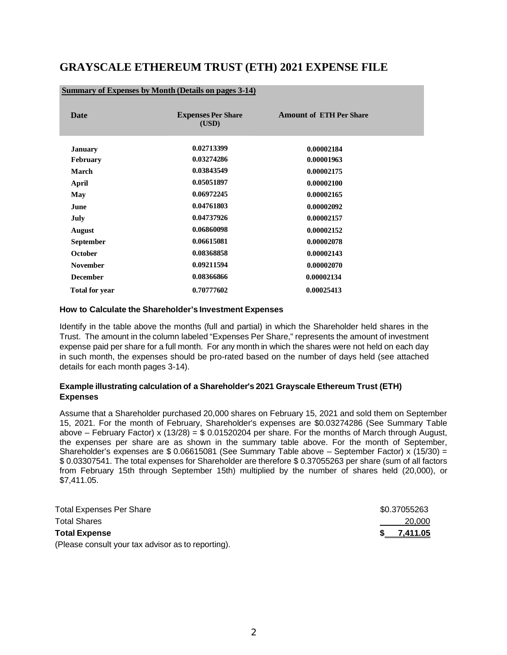# **GRAYSCALE ETHEREUM TRUST (ETH) 2021 EXPENSE FILE**

| <b>Date</b>           | <b>Expenses Per Share</b><br>(USD) | <b>Amount of ETH Per Share</b> |
|-----------------------|------------------------------------|--------------------------------|
| January               | 0.02713399                         | 0.00002184                     |
| <b>February</b>       | 0.03274286                         | 0.00001963                     |
| March                 | 0.03843549                         | 0.00002175                     |
| April                 | 0.05051897                         | 0.00002100                     |
| May                   | 0.06972245                         | 0.00002165                     |
| June                  | 0.04761803                         | 0.00002092                     |
| July                  | 0.04737926                         | 0.00002157                     |
| <b>August</b>         | 0.06860098                         | 0.00002152                     |
| <b>September</b>      | 0.06615081                         | 0.00002078                     |
| October               | 0.08368858                         | 0.00002143                     |
| <b>November</b>       | 0.09211594                         | 0.00002070                     |
| <b>December</b>       | 0.08366866                         | 0.00002134                     |
| <b>Total for year</b> | 0.70777602                         | 0.00025413                     |

#### **Summary of Expenses by Month (Details on pages 3-14)**

#### **How to Calculate the Shareholder's Investment Expenses**

Identify in the table above the months (full and partial) in which the Shareholder held shares in the Trust. The amount in the column labeled "Expenses Per Share," represents the amount of investment expense paid per share for a full month. For any month in which the shares were not held on each day in such month, the expenses should be pro-rated based on the number of days held (see attached details for each month pages 3-14).

### **Example illustrating calculation of a Shareholder's 2021 Grayscale Ethereum Trust (ETH) Expenses**

Assume that a Shareholder purchased 20,000 shares on February 15, 2021 and sold them on September 15, 2021. For the month of February, Shareholder's expenses are \$0.03274286 (See Summary Table above – February Factor) x (13/28) =  $$0.01520204$  per share. For the months of March through August, the expenses per share are as shown in the summary table above. For the month of September, Shareholder's expenses are \$ 0.06615081 (See Summary Table above – September Factor) x (15/30) = \$ 0.03307541. The total expenses for Shareholder are therefore \$ 0.37055263 per share (sum of all factors from February 15th through September 15th) multiplied by the number of shares held (20,000), or \$7,411.05.

| <b>Total Expenses Per Share</b>                    | \$0.37055263  |
|----------------------------------------------------|---------------|
| <b>Total Shares</b>                                | 20,000        |
| <b>Total Expense</b>                               | $$-.7,411.05$ |
| (Please consult your tax advisor as to reporting). |               |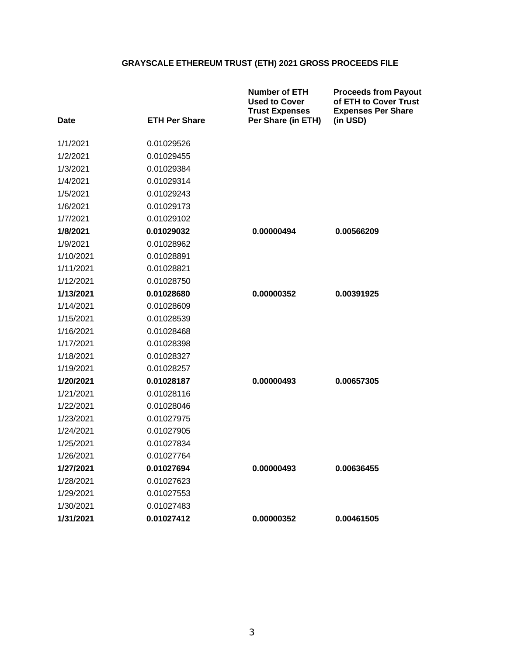| Date      | <b>ETH Per Share</b> | <b>Number of ETH</b><br><b>Used to Cover</b><br><b>Trust Expenses</b><br>Per Share (in ETH) | <b>Proceeds from Payout</b><br>of ETH to Cover Trust<br><b>Expenses Per Share</b><br>(in USD) |
|-----------|----------------------|---------------------------------------------------------------------------------------------|-----------------------------------------------------------------------------------------------|
|           |                      |                                                                                             |                                                                                               |
| 1/1/2021  | 0.01029526           |                                                                                             |                                                                                               |
| 1/2/2021  | 0.01029455           |                                                                                             |                                                                                               |
| 1/3/2021  | 0.01029384           |                                                                                             |                                                                                               |
| 1/4/2021  | 0.01029314           |                                                                                             |                                                                                               |
| 1/5/2021  | 0.01029243           |                                                                                             |                                                                                               |
| 1/6/2021  | 0.01029173           |                                                                                             |                                                                                               |
| 1/7/2021  | 0.01029102           |                                                                                             |                                                                                               |
| 1/8/2021  | 0.01029032           | 0.00000494                                                                                  | 0.00566209                                                                                    |
| 1/9/2021  | 0.01028962           |                                                                                             |                                                                                               |
| 1/10/2021 | 0.01028891           |                                                                                             |                                                                                               |
| 1/11/2021 | 0.01028821           |                                                                                             |                                                                                               |
| 1/12/2021 | 0.01028750           |                                                                                             |                                                                                               |
| 1/13/2021 | 0.01028680           | 0.00000352                                                                                  | 0.00391925                                                                                    |
| 1/14/2021 | 0.01028609           |                                                                                             |                                                                                               |
| 1/15/2021 | 0.01028539           |                                                                                             |                                                                                               |
| 1/16/2021 | 0.01028468           |                                                                                             |                                                                                               |
| 1/17/2021 | 0.01028398           |                                                                                             |                                                                                               |
| 1/18/2021 | 0.01028327           |                                                                                             |                                                                                               |
| 1/19/2021 | 0.01028257           |                                                                                             |                                                                                               |
| 1/20/2021 | 0.01028187           | 0.00000493                                                                                  | 0.00657305                                                                                    |
| 1/21/2021 | 0.01028116           |                                                                                             |                                                                                               |
| 1/22/2021 | 0.01028046           |                                                                                             |                                                                                               |
| 1/23/2021 | 0.01027975           |                                                                                             |                                                                                               |
| 1/24/2021 | 0.01027905           |                                                                                             |                                                                                               |
| 1/25/2021 | 0.01027834           |                                                                                             |                                                                                               |
| 1/26/2021 | 0.01027764           |                                                                                             |                                                                                               |
| 1/27/2021 | 0.01027694           | 0.00000493                                                                                  | 0.00636455                                                                                    |
| 1/28/2021 | 0.01027623           |                                                                                             |                                                                                               |
| 1/29/2021 | 0.01027553           |                                                                                             |                                                                                               |
| 1/30/2021 | 0.01027483           |                                                                                             |                                                                                               |
| 1/31/2021 | 0.01027412           | 0.00000352                                                                                  | 0.00461505                                                                                    |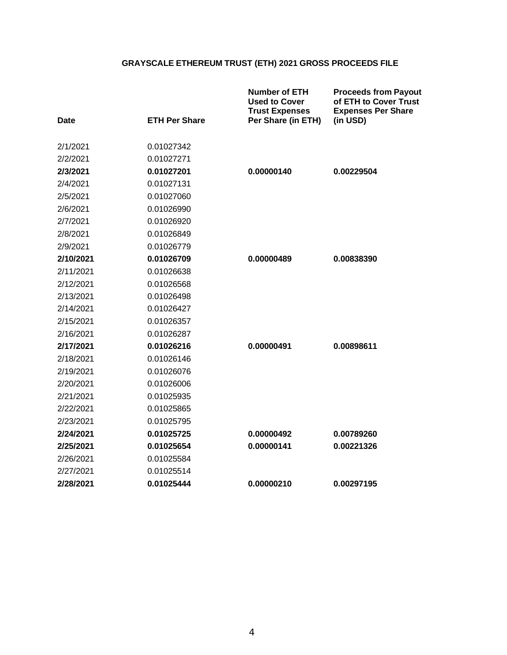| <b>Date</b> | <b>ETH Per Share</b> | <b>Number of ETH</b><br><b>Used to Cover</b><br><b>Trust Expenses</b><br>Per Share (in ETH) | <b>Proceeds from Payout</b><br>of ETH to Cover Trust<br><b>Expenses Per Share</b><br>(in USD) |
|-------------|----------------------|---------------------------------------------------------------------------------------------|-----------------------------------------------------------------------------------------------|
| 2/1/2021    | 0.01027342           |                                                                                             |                                                                                               |
| 2/2/2021    | 0.01027271           |                                                                                             |                                                                                               |
| 2/3/2021    | 0.01027201           | 0.00000140                                                                                  | 0.00229504                                                                                    |
| 2/4/2021    | 0.01027131           |                                                                                             |                                                                                               |
| 2/5/2021    | 0.01027060           |                                                                                             |                                                                                               |
| 2/6/2021    | 0.01026990           |                                                                                             |                                                                                               |
| 2/7/2021    | 0.01026920           |                                                                                             |                                                                                               |
| 2/8/2021    | 0.01026849           |                                                                                             |                                                                                               |
| 2/9/2021    | 0.01026779           |                                                                                             |                                                                                               |
| 2/10/2021   | 0.01026709           | 0.00000489                                                                                  | 0.00838390                                                                                    |
| 2/11/2021   | 0.01026638           |                                                                                             |                                                                                               |
| 2/12/2021   | 0.01026568           |                                                                                             |                                                                                               |
| 2/13/2021   | 0.01026498           |                                                                                             |                                                                                               |
| 2/14/2021   | 0.01026427           |                                                                                             |                                                                                               |
| 2/15/2021   | 0.01026357           |                                                                                             |                                                                                               |
| 2/16/2021   | 0.01026287           |                                                                                             |                                                                                               |
| 2/17/2021   | 0.01026216           | 0.00000491                                                                                  | 0.00898611                                                                                    |
| 2/18/2021   | 0.01026146           |                                                                                             |                                                                                               |
| 2/19/2021   | 0.01026076           |                                                                                             |                                                                                               |
| 2/20/2021   | 0.01026006           |                                                                                             |                                                                                               |
| 2/21/2021   | 0.01025935           |                                                                                             |                                                                                               |
| 2/22/2021   | 0.01025865           |                                                                                             |                                                                                               |
| 2/23/2021   | 0.01025795           |                                                                                             |                                                                                               |
| 2/24/2021   | 0.01025725           | 0.00000492                                                                                  | 0.00789260                                                                                    |
| 2/25/2021   | 0.01025654           | 0.00000141                                                                                  | 0.00221326                                                                                    |
| 2/26/2021   | 0.01025584           |                                                                                             |                                                                                               |
| 2/27/2021   | 0.01025514           |                                                                                             |                                                                                               |
| 2/28/2021   | 0.01025444           | 0.00000210                                                                                  | 0.00297195                                                                                    |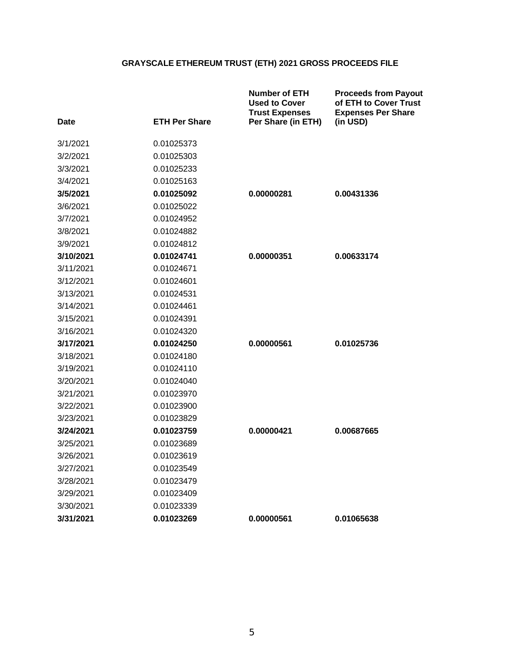| <b>Date</b> | <b>ETH Per Share</b> | <b>Number of ETH</b><br><b>Used to Cover</b><br><b>Trust Expenses</b><br>Per Share (in ETH) | <b>Proceeds from Payout</b><br>of ETH to Cover Trust<br><b>Expenses Per Share</b><br>(in USD) |
|-------------|----------------------|---------------------------------------------------------------------------------------------|-----------------------------------------------------------------------------------------------|
| 3/1/2021    | 0.01025373           |                                                                                             |                                                                                               |
| 3/2/2021    | 0.01025303           |                                                                                             |                                                                                               |
| 3/3/2021    | 0.01025233           |                                                                                             |                                                                                               |
| 3/4/2021    | 0.01025163           |                                                                                             |                                                                                               |
| 3/5/2021    | 0.01025092           | 0.00000281                                                                                  | 0.00431336                                                                                    |
| 3/6/2021    | 0.01025022           |                                                                                             |                                                                                               |
| 3/7/2021    | 0.01024952           |                                                                                             |                                                                                               |
| 3/8/2021    | 0.01024882           |                                                                                             |                                                                                               |
| 3/9/2021    | 0.01024812           |                                                                                             |                                                                                               |
| 3/10/2021   | 0.01024741           | 0.00000351                                                                                  | 0.00633174                                                                                    |
| 3/11/2021   | 0.01024671           |                                                                                             |                                                                                               |
| 3/12/2021   | 0.01024601           |                                                                                             |                                                                                               |
| 3/13/2021   | 0.01024531           |                                                                                             |                                                                                               |
| 3/14/2021   | 0.01024461           |                                                                                             |                                                                                               |
| 3/15/2021   | 0.01024391           |                                                                                             |                                                                                               |
| 3/16/2021   | 0.01024320           |                                                                                             |                                                                                               |
| 3/17/2021   | 0.01024250           | 0.00000561                                                                                  | 0.01025736                                                                                    |
| 3/18/2021   | 0.01024180           |                                                                                             |                                                                                               |
| 3/19/2021   | 0.01024110           |                                                                                             |                                                                                               |
| 3/20/2021   | 0.01024040           |                                                                                             |                                                                                               |
| 3/21/2021   | 0.01023970           |                                                                                             |                                                                                               |
| 3/22/2021   | 0.01023900           |                                                                                             |                                                                                               |
| 3/23/2021   | 0.01023829           |                                                                                             |                                                                                               |
| 3/24/2021   | 0.01023759           | 0.00000421                                                                                  | 0.00687665                                                                                    |
| 3/25/2021   | 0.01023689           |                                                                                             |                                                                                               |
| 3/26/2021   | 0.01023619           |                                                                                             |                                                                                               |
| 3/27/2021   | 0.01023549           |                                                                                             |                                                                                               |
| 3/28/2021   | 0.01023479           |                                                                                             |                                                                                               |
| 3/29/2021   | 0.01023409           |                                                                                             |                                                                                               |
| 3/30/2021   | 0.01023339           |                                                                                             |                                                                                               |
| 3/31/2021   | 0.01023269           | 0.00000561                                                                                  | 0.01065638                                                                                    |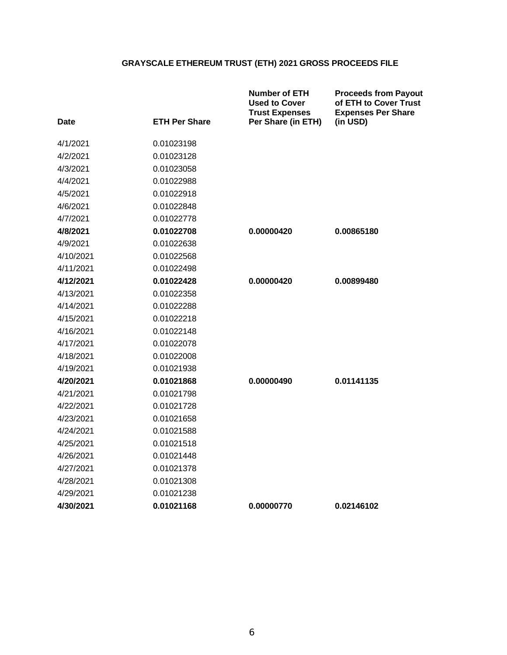| Date      | <b>ETH Per Share</b> | <b>Number of ETH</b><br><b>Used to Cover</b><br><b>Trust Expenses</b><br>Per Share (in ETH) | <b>Proceeds from Payout</b><br>of ETH to Cover Trust<br><b>Expenses Per Share</b><br>(in USD) |
|-----------|----------------------|---------------------------------------------------------------------------------------------|-----------------------------------------------------------------------------------------------|
| 4/1/2021  | 0.01023198           |                                                                                             |                                                                                               |
| 4/2/2021  | 0.01023128           |                                                                                             |                                                                                               |
| 4/3/2021  | 0.01023058           |                                                                                             |                                                                                               |
| 4/4/2021  | 0.01022988           |                                                                                             |                                                                                               |
| 4/5/2021  | 0.01022918           |                                                                                             |                                                                                               |
| 4/6/2021  | 0.01022848           |                                                                                             |                                                                                               |
| 4/7/2021  | 0.01022778           |                                                                                             |                                                                                               |
| 4/8/2021  | 0.01022708           | 0.00000420                                                                                  | 0.00865180                                                                                    |
| 4/9/2021  | 0.01022638           |                                                                                             |                                                                                               |
| 4/10/2021 | 0.01022568           |                                                                                             |                                                                                               |
| 4/11/2021 | 0.01022498           |                                                                                             |                                                                                               |
| 4/12/2021 | 0.01022428           | 0.00000420                                                                                  | 0.00899480                                                                                    |
| 4/13/2021 | 0.01022358           |                                                                                             |                                                                                               |
| 4/14/2021 | 0.01022288           |                                                                                             |                                                                                               |
| 4/15/2021 | 0.01022218           |                                                                                             |                                                                                               |
| 4/16/2021 | 0.01022148           |                                                                                             |                                                                                               |
| 4/17/2021 | 0.01022078           |                                                                                             |                                                                                               |
| 4/18/2021 | 0.01022008           |                                                                                             |                                                                                               |
| 4/19/2021 | 0.01021938           |                                                                                             |                                                                                               |
| 4/20/2021 | 0.01021868           | 0.00000490                                                                                  | 0.01141135                                                                                    |
| 4/21/2021 | 0.01021798           |                                                                                             |                                                                                               |
| 4/22/2021 | 0.01021728           |                                                                                             |                                                                                               |
| 4/23/2021 | 0.01021658           |                                                                                             |                                                                                               |
| 4/24/2021 | 0.01021588           |                                                                                             |                                                                                               |
| 4/25/2021 | 0.01021518           |                                                                                             |                                                                                               |
| 4/26/2021 | 0.01021448           |                                                                                             |                                                                                               |
| 4/27/2021 | 0.01021378           |                                                                                             |                                                                                               |
| 4/28/2021 | 0.01021308           |                                                                                             |                                                                                               |
| 4/29/2021 | 0.01021238           |                                                                                             |                                                                                               |
| 4/30/2021 | 0.01021168           | 0.00000770                                                                                  | 0.02146102                                                                                    |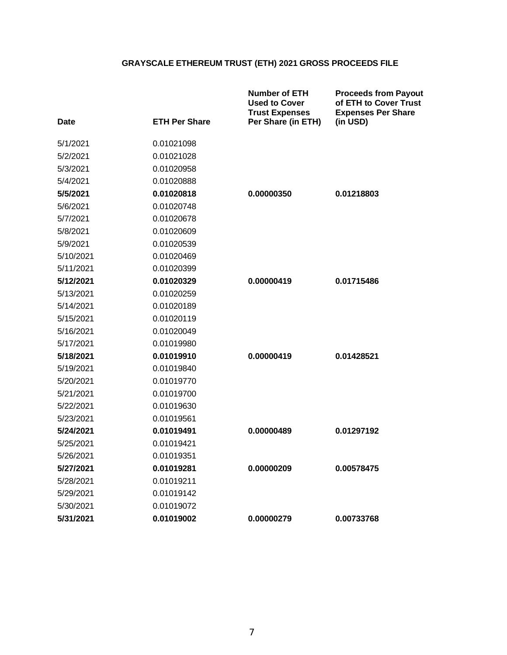| Date      | <b>ETH Per Share</b> | <b>Number of ETH</b><br><b>Used to Cover</b><br><b>Trust Expenses</b><br>Per Share (in ETH) | <b>Proceeds from Payout</b><br>of ETH to Cover Trust<br><b>Expenses Per Share</b><br>(in USD) |
|-----------|----------------------|---------------------------------------------------------------------------------------------|-----------------------------------------------------------------------------------------------|
| 5/1/2021  | 0.01021098           |                                                                                             |                                                                                               |
| 5/2/2021  | 0.01021028           |                                                                                             |                                                                                               |
| 5/3/2021  | 0.01020958           |                                                                                             |                                                                                               |
| 5/4/2021  | 0.01020888           |                                                                                             |                                                                                               |
| 5/5/2021  | 0.01020818           | 0.00000350                                                                                  | 0.01218803                                                                                    |
| 5/6/2021  | 0.01020748           |                                                                                             |                                                                                               |
| 5/7/2021  | 0.01020678           |                                                                                             |                                                                                               |
| 5/8/2021  | 0.01020609           |                                                                                             |                                                                                               |
| 5/9/2021  | 0.01020539           |                                                                                             |                                                                                               |
| 5/10/2021 | 0.01020469           |                                                                                             |                                                                                               |
| 5/11/2021 | 0.01020399           |                                                                                             |                                                                                               |
| 5/12/2021 | 0.01020329           | 0.00000419                                                                                  | 0.01715486                                                                                    |
| 5/13/2021 | 0.01020259           |                                                                                             |                                                                                               |
| 5/14/2021 | 0.01020189           |                                                                                             |                                                                                               |
| 5/15/2021 | 0.01020119           |                                                                                             |                                                                                               |
| 5/16/2021 | 0.01020049           |                                                                                             |                                                                                               |
| 5/17/2021 | 0.01019980           |                                                                                             |                                                                                               |
| 5/18/2021 | 0.01019910           | 0.00000419                                                                                  | 0.01428521                                                                                    |
| 5/19/2021 | 0.01019840           |                                                                                             |                                                                                               |
| 5/20/2021 | 0.01019770           |                                                                                             |                                                                                               |
| 5/21/2021 | 0.01019700           |                                                                                             |                                                                                               |
| 5/22/2021 | 0.01019630           |                                                                                             |                                                                                               |
| 5/23/2021 | 0.01019561           |                                                                                             |                                                                                               |
| 5/24/2021 | 0.01019491           | 0.00000489                                                                                  | 0.01297192                                                                                    |
| 5/25/2021 | 0.01019421           |                                                                                             |                                                                                               |
| 5/26/2021 | 0.01019351           |                                                                                             |                                                                                               |
| 5/27/2021 | 0.01019281           | 0.00000209                                                                                  | 0.00578475                                                                                    |
| 5/28/2021 | 0.01019211           |                                                                                             |                                                                                               |
| 5/29/2021 | 0.01019142           |                                                                                             |                                                                                               |
| 5/30/2021 | 0.01019072           |                                                                                             |                                                                                               |
| 5/31/2021 | 0.01019002           | 0.00000279                                                                                  | 0.00733768                                                                                    |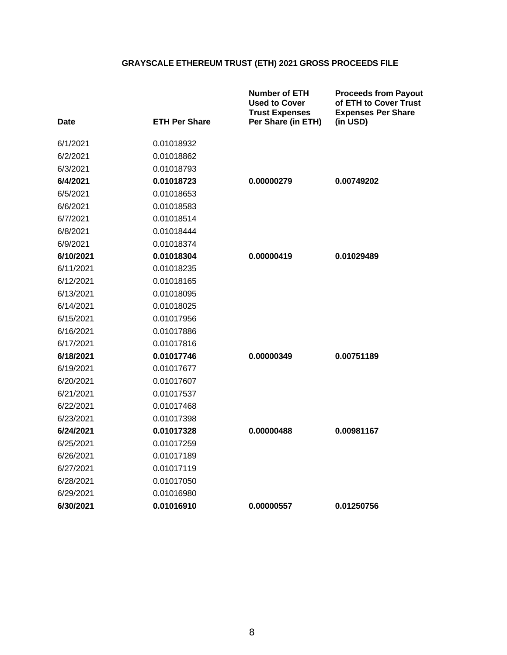| <b>Date</b> | <b>ETH Per Share</b> | <b>Number of ETH</b><br><b>Used to Cover</b><br><b>Trust Expenses</b><br>Per Share (in ETH) | <b>Proceeds from Payout</b><br>of ETH to Cover Trust<br><b>Expenses Per Share</b><br>(in USD) |
|-------------|----------------------|---------------------------------------------------------------------------------------------|-----------------------------------------------------------------------------------------------|
| 6/1/2021    | 0.01018932           |                                                                                             |                                                                                               |
| 6/2/2021    | 0.01018862           |                                                                                             |                                                                                               |
| 6/3/2021    | 0.01018793           |                                                                                             |                                                                                               |
| 6/4/2021    | 0.01018723           | 0.00000279                                                                                  | 0.00749202                                                                                    |
| 6/5/2021    | 0.01018653           |                                                                                             |                                                                                               |
| 6/6/2021    | 0.01018583           |                                                                                             |                                                                                               |
| 6/7/2021    | 0.01018514           |                                                                                             |                                                                                               |
| 6/8/2021    | 0.01018444           |                                                                                             |                                                                                               |
| 6/9/2021    | 0.01018374           |                                                                                             |                                                                                               |
| 6/10/2021   | 0.01018304           | 0.00000419                                                                                  | 0.01029489                                                                                    |
| 6/11/2021   | 0.01018235           |                                                                                             |                                                                                               |
| 6/12/2021   | 0.01018165           |                                                                                             |                                                                                               |
| 6/13/2021   | 0.01018095           |                                                                                             |                                                                                               |
| 6/14/2021   | 0.01018025           |                                                                                             |                                                                                               |
| 6/15/2021   | 0.01017956           |                                                                                             |                                                                                               |
| 6/16/2021   | 0.01017886           |                                                                                             |                                                                                               |
| 6/17/2021   | 0.01017816           |                                                                                             |                                                                                               |
| 6/18/2021   | 0.01017746           | 0.00000349                                                                                  | 0.00751189                                                                                    |
| 6/19/2021   | 0.01017677           |                                                                                             |                                                                                               |
| 6/20/2021   | 0.01017607           |                                                                                             |                                                                                               |
| 6/21/2021   | 0.01017537           |                                                                                             |                                                                                               |
| 6/22/2021   | 0.01017468           |                                                                                             |                                                                                               |
| 6/23/2021   | 0.01017398           |                                                                                             |                                                                                               |
| 6/24/2021   | 0.01017328           | 0.00000488                                                                                  | 0.00981167                                                                                    |
| 6/25/2021   | 0.01017259           |                                                                                             |                                                                                               |
| 6/26/2021   | 0.01017189           |                                                                                             |                                                                                               |
| 6/27/2021   | 0.01017119           |                                                                                             |                                                                                               |
| 6/28/2021   | 0.01017050           |                                                                                             |                                                                                               |
| 6/29/2021   | 0.01016980           |                                                                                             |                                                                                               |
| 6/30/2021   | 0.01016910           | 0.00000557                                                                                  | 0.01250756                                                                                    |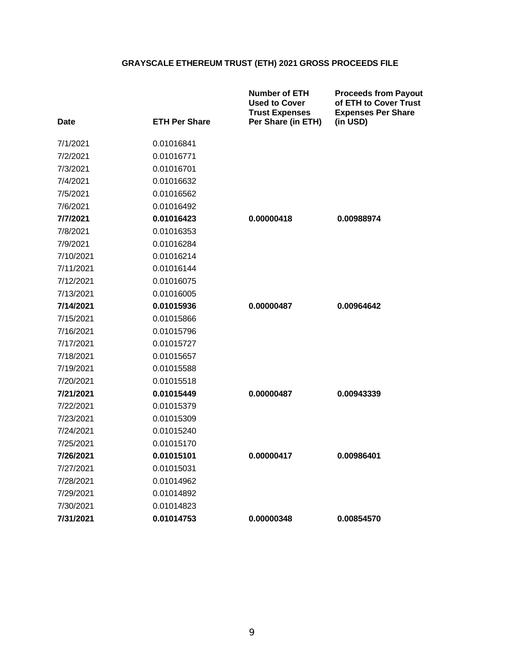|             |                      | <b>Number of ETH</b><br><b>Used to Cover</b><br><b>Trust Expenses</b> | <b>Proceeds from Payout</b><br>of ETH to Cover Trust<br><b>Expenses Per Share</b> |
|-------------|----------------------|-----------------------------------------------------------------------|-----------------------------------------------------------------------------------|
| <b>Date</b> | <b>ETH Per Share</b> | Per Share (in ETH)                                                    | (in USD)                                                                          |
| 7/1/2021    | 0.01016841           |                                                                       |                                                                                   |
| 7/2/2021    | 0.01016771           |                                                                       |                                                                                   |
| 7/3/2021    | 0.01016701           |                                                                       |                                                                                   |
| 7/4/2021    | 0.01016632           |                                                                       |                                                                                   |
| 7/5/2021    | 0.01016562           |                                                                       |                                                                                   |
| 7/6/2021    | 0.01016492           |                                                                       |                                                                                   |
| 7/7/2021    | 0.01016423           | 0.00000418                                                            | 0.00988974                                                                        |
| 7/8/2021    | 0.01016353           |                                                                       |                                                                                   |
| 7/9/2021    | 0.01016284           |                                                                       |                                                                                   |
| 7/10/2021   | 0.01016214           |                                                                       |                                                                                   |
| 7/11/2021   | 0.01016144           |                                                                       |                                                                                   |
| 7/12/2021   | 0.01016075           |                                                                       |                                                                                   |
| 7/13/2021   | 0.01016005           |                                                                       |                                                                                   |
| 7/14/2021   | 0.01015936           | 0.00000487                                                            | 0.00964642                                                                        |
| 7/15/2021   | 0.01015866           |                                                                       |                                                                                   |
| 7/16/2021   | 0.01015796           |                                                                       |                                                                                   |
| 7/17/2021   | 0.01015727           |                                                                       |                                                                                   |
| 7/18/2021   | 0.01015657           |                                                                       |                                                                                   |
| 7/19/2021   | 0.01015588           |                                                                       |                                                                                   |
| 7/20/2021   | 0.01015518           |                                                                       |                                                                                   |
| 7/21/2021   | 0.01015449           | 0.00000487                                                            | 0.00943339                                                                        |
| 7/22/2021   | 0.01015379           |                                                                       |                                                                                   |
| 7/23/2021   | 0.01015309           |                                                                       |                                                                                   |
| 7/24/2021   | 0.01015240           |                                                                       |                                                                                   |
| 7/25/2021   | 0.01015170           |                                                                       |                                                                                   |
| 7/26/2021   | 0.01015101           | 0.00000417                                                            | 0.00986401                                                                        |
| 7/27/2021   | 0.01015031           |                                                                       |                                                                                   |
| 7/28/2021   | 0.01014962           |                                                                       |                                                                                   |
| 7/29/2021   | 0.01014892           |                                                                       |                                                                                   |
| 7/30/2021   | 0.01014823           |                                                                       |                                                                                   |
| 7/31/2021   | 0.01014753           | 0.00000348                                                            | 0.00854570                                                                        |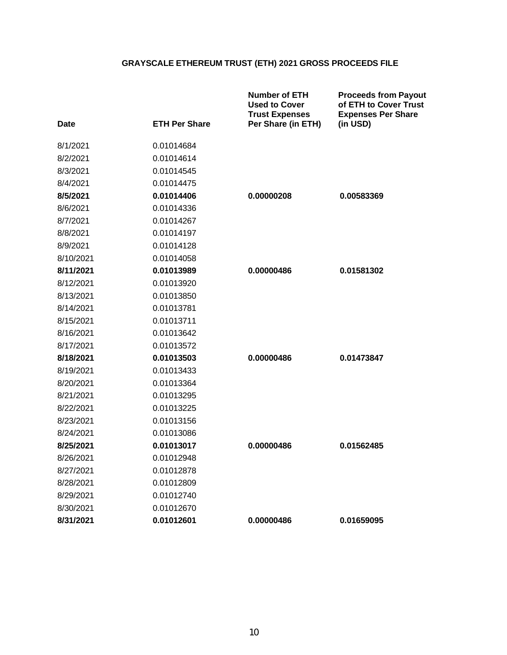| Date      | <b>ETH Per Share</b> | <b>Number of ETH</b><br><b>Used to Cover</b><br><b>Trust Expenses</b><br>Per Share (in ETH) | <b>Proceeds from Payout</b><br>of ETH to Cover Trust<br><b>Expenses Per Share</b><br>(in USD) |
|-----------|----------------------|---------------------------------------------------------------------------------------------|-----------------------------------------------------------------------------------------------|
| 8/1/2021  | 0.01014684           |                                                                                             |                                                                                               |
| 8/2/2021  | 0.01014614           |                                                                                             |                                                                                               |
| 8/3/2021  | 0.01014545           |                                                                                             |                                                                                               |
| 8/4/2021  | 0.01014475           |                                                                                             |                                                                                               |
| 8/5/2021  | 0.01014406           | 0.00000208                                                                                  | 0.00583369                                                                                    |
| 8/6/2021  | 0.01014336           |                                                                                             |                                                                                               |
| 8/7/2021  | 0.01014267           |                                                                                             |                                                                                               |
| 8/8/2021  | 0.01014197           |                                                                                             |                                                                                               |
| 8/9/2021  | 0.01014128           |                                                                                             |                                                                                               |
| 8/10/2021 | 0.01014058           |                                                                                             |                                                                                               |
| 8/11/2021 | 0.01013989           | 0.00000486                                                                                  | 0.01581302                                                                                    |
| 8/12/2021 | 0.01013920           |                                                                                             |                                                                                               |
| 8/13/2021 | 0.01013850           |                                                                                             |                                                                                               |
| 8/14/2021 | 0.01013781           |                                                                                             |                                                                                               |
| 8/15/2021 | 0.01013711           |                                                                                             |                                                                                               |
| 8/16/2021 | 0.01013642           |                                                                                             |                                                                                               |
| 8/17/2021 | 0.01013572           |                                                                                             |                                                                                               |
| 8/18/2021 | 0.01013503           | 0.00000486                                                                                  | 0.01473847                                                                                    |
| 8/19/2021 | 0.01013433           |                                                                                             |                                                                                               |
| 8/20/2021 | 0.01013364           |                                                                                             |                                                                                               |
| 8/21/2021 | 0.01013295           |                                                                                             |                                                                                               |
| 8/22/2021 | 0.01013225           |                                                                                             |                                                                                               |
| 8/23/2021 | 0.01013156           |                                                                                             |                                                                                               |
| 8/24/2021 | 0.01013086           |                                                                                             |                                                                                               |
| 8/25/2021 | 0.01013017           | 0.00000486                                                                                  | 0.01562485                                                                                    |
| 8/26/2021 | 0.01012948           |                                                                                             |                                                                                               |
| 8/27/2021 | 0.01012878           |                                                                                             |                                                                                               |
| 8/28/2021 | 0.01012809           |                                                                                             |                                                                                               |
| 8/29/2021 | 0.01012740           |                                                                                             |                                                                                               |
| 8/30/2021 | 0.01012670           |                                                                                             |                                                                                               |
| 8/31/2021 | 0.01012601           | 0.00000486                                                                                  | 0.01659095                                                                                    |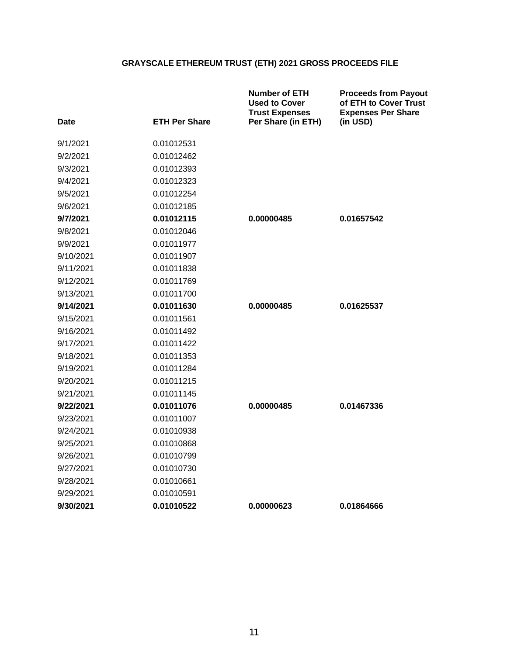| Date      | <b>ETH Per Share</b> | <b>Number of ETH</b><br><b>Used to Cover</b><br><b>Trust Expenses</b><br>Per Share (in ETH) | <b>Proceeds from Payout</b><br>of ETH to Cover Trust<br><b>Expenses Per Share</b><br>(in USD) |
|-----------|----------------------|---------------------------------------------------------------------------------------------|-----------------------------------------------------------------------------------------------|
| 9/1/2021  | 0.01012531           |                                                                                             |                                                                                               |
| 9/2/2021  | 0.01012462           |                                                                                             |                                                                                               |
| 9/3/2021  | 0.01012393           |                                                                                             |                                                                                               |
| 9/4/2021  | 0.01012323           |                                                                                             |                                                                                               |
| 9/5/2021  | 0.01012254           |                                                                                             |                                                                                               |
| 9/6/2021  | 0.01012185           |                                                                                             |                                                                                               |
| 9/7/2021  | 0.01012115           | 0.00000485                                                                                  | 0.01657542                                                                                    |
| 9/8/2021  | 0.01012046           |                                                                                             |                                                                                               |
| 9/9/2021  | 0.01011977           |                                                                                             |                                                                                               |
| 9/10/2021 | 0.01011907           |                                                                                             |                                                                                               |
| 9/11/2021 | 0.01011838           |                                                                                             |                                                                                               |
| 9/12/2021 | 0.01011769           |                                                                                             |                                                                                               |
| 9/13/2021 | 0.01011700           |                                                                                             |                                                                                               |
| 9/14/2021 | 0.01011630           | 0.00000485                                                                                  | 0.01625537                                                                                    |
| 9/15/2021 | 0.01011561           |                                                                                             |                                                                                               |
| 9/16/2021 | 0.01011492           |                                                                                             |                                                                                               |
| 9/17/2021 | 0.01011422           |                                                                                             |                                                                                               |
| 9/18/2021 | 0.01011353           |                                                                                             |                                                                                               |
| 9/19/2021 | 0.01011284           |                                                                                             |                                                                                               |
| 9/20/2021 | 0.01011215           |                                                                                             |                                                                                               |
| 9/21/2021 | 0.01011145           |                                                                                             |                                                                                               |
| 9/22/2021 | 0.01011076           | 0.00000485                                                                                  | 0.01467336                                                                                    |
| 9/23/2021 | 0.01011007           |                                                                                             |                                                                                               |
| 9/24/2021 | 0.01010938           |                                                                                             |                                                                                               |
| 9/25/2021 | 0.01010868           |                                                                                             |                                                                                               |
| 9/26/2021 | 0.01010799           |                                                                                             |                                                                                               |
| 9/27/2021 | 0.01010730           |                                                                                             |                                                                                               |
| 9/28/2021 | 0.01010661           |                                                                                             |                                                                                               |
| 9/29/2021 | 0.01010591           |                                                                                             |                                                                                               |
| 9/30/2021 | 0.01010522           | 0.00000623                                                                                  | 0.01864666                                                                                    |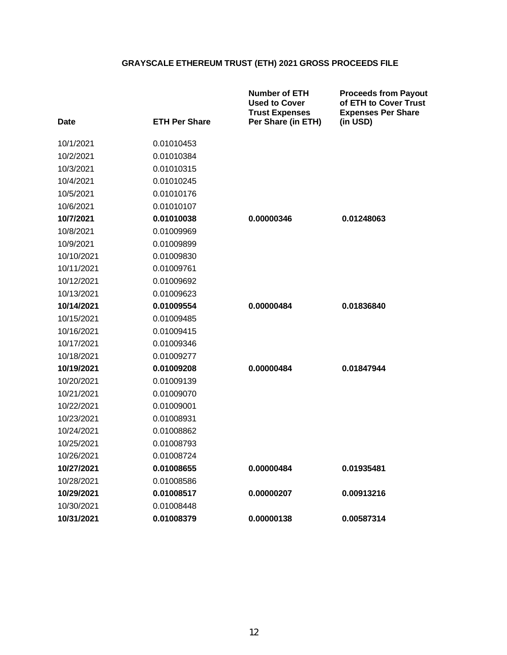| <b>Date</b> | <b>ETH Per Share</b> | <b>Number of ETH</b><br><b>Used to Cover</b><br><b>Trust Expenses</b><br>Per Share (in ETH) | <b>Proceeds from Payout</b><br>of ETH to Cover Trust<br><b>Expenses Per Share</b><br>(in USD) |
|-------------|----------------------|---------------------------------------------------------------------------------------------|-----------------------------------------------------------------------------------------------|
|             |                      |                                                                                             |                                                                                               |
| 10/1/2021   | 0.01010453           |                                                                                             |                                                                                               |
| 10/2/2021   | 0.01010384           |                                                                                             |                                                                                               |
| 10/3/2021   | 0.01010315           |                                                                                             |                                                                                               |
| 10/4/2021   | 0.01010245           |                                                                                             |                                                                                               |
| 10/5/2021   | 0.01010176           |                                                                                             |                                                                                               |
| 10/6/2021   | 0.01010107           |                                                                                             |                                                                                               |
| 10/7/2021   | 0.01010038           | 0.00000346                                                                                  | 0.01248063                                                                                    |
| 10/8/2021   | 0.01009969           |                                                                                             |                                                                                               |
| 10/9/2021   | 0.01009899           |                                                                                             |                                                                                               |
| 10/10/2021  | 0.01009830           |                                                                                             |                                                                                               |
| 10/11/2021  | 0.01009761           |                                                                                             |                                                                                               |
| 10/12/2021  | 0.01009692           |                                                                                             |                                                                                               |
| 10/13/2021  | 0.01009623           |                                                                                             |                                                                                               |
| 10/14/2021  | 0.01009554           | 0.00000484                                                                                  | 0.01836840                                                                                    |
| 10/15/2021  | 0.01009485           |                                                                                             |                                                                                               |
| 10/16/2021  | 0.01009415           |                                                                                             |                                                                                               |
| 10/17/2021  | 0.01009346           |                                                                                             |                                                                                               |
| 10/18/2021  | 0.01009277           |                                                                                             |                                                                                               |
| 10/19/2021  | 0.01009208           | 0.00000484                                                                                  | 0.01847944                                                                                    |
| 10/20/2021  | 0.01009139           |                                                                                             |                                                                                               |
| 10/21/2021  | 0.01009070           |                                                                                             |                                                                                               |
| 10/22/2021  | 0.01009001           |                                                                                             |                                                                                               |
| 10/23/2021  | 0.01008931           |                                                                                             |                                                                                               |
| 10/24/2021  | 0.01008862           |                                                                                             |                                                                                               |
| 10/25/2021  | 0.01008793           |                                                                                             |                                                                                               |
| 10/26/2021  | 0.01008724           |                                                                                             |                                                                                               |
| 10/27/2021  | 0.01008655           | 0.00000484                                                                                  | 0.01935481                                                                                    |
| 10/28/2021  | 0.01008586           |                                                                                             |                                                                                               |
| 10/29/2021  | 0.01008517           | 0.00000207                                                                                  | 0.00913216                                                                                    |
| 10/30/2021  | 0.01008448           |                                                                                             |                                                                                               |
| 10/31/2021  | 0.01008379           | 0.00000138                                                                                  | 0.00587314                                                                                    |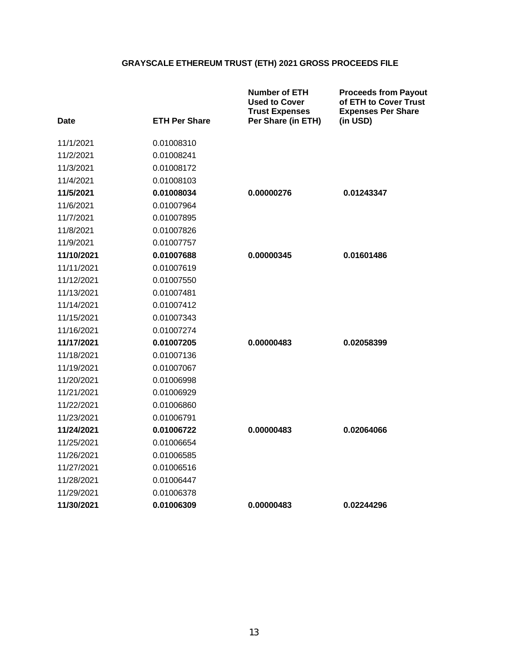| Date       | <b>ETH Per Share</b> | <b>Number of ETH</b><br><b>Used to Cover</b><br><b>Trust Expenses</b><br>Per Share (in ETH) | <b>Proceeds from Payout</b><br>of ETH to Cover Trust<br><b>Expenses Per Share</b><br>(in USD) |
|------------|----------------------|---------------------------------------------------------------------------------------------|-----------------------------------------------------------------------------------------------|
| 11/1/2021  | 0.01008310           |                                                                                             |                                                                                               |
| 11/2/2021  | 0.01008241           |                                                                                             |                                                                                               |
| 11/3/2021  | 0.01008172           |                                                                                             |                                                                                               |
| 11/4/2021  | 0.01008103           |                                                                                             |                                                                                               |
| 11/5/2021  | 0.01008034           | 0.00000276                                                                                  | 0.01243347                                                                                    |
| 11/6/2021  | 0.01007964           |                                                                                             |                                                                                               |
| 11/7/2021  | 0.01007895           |                                                                                             |                                                                                               |
| 11/8/2021  | 0.01007826           |                                                                                             |                                                                                               |
| 11/9/2021  | 0.01007757           |                                                                                             |                                                                                               |
| 11/10/2021 | 0.01007688           | 0.00000345                                                                                  | 0.01601486                                                                                    |
| 11/11/2021 | 0.01007619           |                                                                                             |                                                                                               |
| 11/12/2021 | 0.01007550           |                                                                                             |                                                                                               |
| 11/13/2021 | 0.01007481           |                                                                                             |                                                                                               |
| 11/14/2021 | 0.01007412           |                                                                                             |                                                                                               |
| 11/15/2021 | 0.01007343           |                                                                                             |                                                                                               |
| 11/16/2021 | 0.01007274           |                                                                                             |                                                                                               |
| 11/17/2021 | 0.01007205           | 0.00000483                                                                                  | 0.02058399                                                                                    |
| 11/18/2021 | 0.01007136           |                                                                                             |                                                                                               |
| 11/19/2021 | 0.01007067           |                                                                                             |                                                                                               |
| 11/20/2021 | 0.01006998           |                                                                                             |                                                                                               |
| 11/21/2021 | 0.01006929           |                                                                                             |                                                                                               |
| 11/22/2021 | 0.01006860           |                                                                                             |                                                                                               |
| 11/23/2021 | 0.01006791           |                                                                                             |                                                                                               |
| 11/24/2021 | 0.01006722           | 0.00000483                                                                                  | 0.02064066                                                                                    |
| 11/25/2021 | 0.01006654           |                                                                                             |                                                                                               |
| 11/26/2021 | 0.01006585           |                                                                                             |                                                                                               |
| 11/27/2021 | 0.01006516           |                                                                                             |                                                                                               |
| 11/28/2021 | 0.01006447           |                                                                                             |                                                                                               |
| 11/29/2021 | 0.01006378           |                                                                                             |                                                                                               |
| 11/30/2021 | 0.01006309           | 0.00000483                                                                                  | 0.02244296                                                                                    |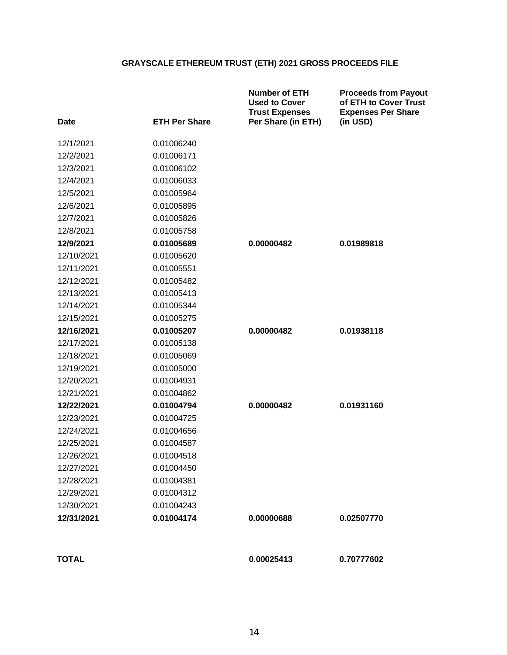| <b>Date</b>  | <b>ETH Per Share</b> | <b>Number of ETH</b><br><b>Used to Cover</b><br><b>Trust Expenses</b><br>Per Share (in ETH) | <b>Proceeds from Payout</b><br>of ETH to Cover Trust<br><b>Expenses Per Share</b><br>(in USD) |
|--------------|----------------------|---------------------------------------------------------------------------------------------|-----------------------------------------------------------------------------------------------|
| 12/1/2021    | 0.01006240           |                                                                                             |                                                                                               |
| 12/2/2021    | 0.01006171           |                                                                                             |                                                                                               |
| 12/3/2021    | 0.01006102           |                                                                                             |                                                                                               |
| 12/4/2021    | 0.01006033           |                                                                                             |                                                                                               |
| 12/5/2021    | 0.01005964           |                                                                                             |                                                                                               |
| 12/6/2021    | 0.01005895           |                                                                                             |                                                                                               |
| 12/7/2021    | 0.01005826           |                                                                                             |                                                                                               |
| 12/8/2021    | 0.01005758           |                                                                                             |                                                                                               |
| 12/9/2021    | 0.01005689           | 0.00000482                                                                                  | 0.01989818                                                                                    |
| 12/10/2021   | 0.01005620           |                                                                                             |                                                                                               |
| 12/11/2021   | 0.01005551           |                                                                                             |                                                                                               |
| 12/12/2021   | 0.01005482           |                                                                                             |                                                                                               |
| 12/13/2021   | 0.01005413           |                                                                                             |                                                                                               |
| 12/14/2021   | 0.01005344           |                                                                                             |                                                                                               |
| 12/15/2021   | 0.01005275           |                                                                                             |                                                                                               |
| 12/16/2021   | 0.01005207           | 0.00000482                                                                                  | 0.01938118                                                                                    |
| 12/17/2021   | 0.01005138           |                                                                                             |                                                                                               |
| 12/18/2021   | 0.01005069           |                                                                                             |                                                                                               |
| 12/19/2021   | 0.01005000           |                                                                                             |                                                                                               |
| 12/20/2021   | 0.01004931           |                                                                                             |                                                                                               |
| 12/21/2021   | 0.01004862           |                                                                                             |                                                                                               |
| 12/22/2021   | 0.01004794           | 0.00000482                                                                                  | 0.01931160                                                                                    |
| 12/23/2021   | 0.01004725           |                                                                                             |                                                                                               |
| 12/24/2021   | 0.01004656           |                                                                                             |                                                                                               |
| 12/25/2021   | 0.01004587           |                                                                                             |                                                                                               |
| 12/26/2021   | 0.01004518           |                                                                                             |                                                                                               |
| 12/27/2021   | 0.01004450           |                                                                                             |                                                                                               |
| 12/28/2021   | 0.01004381           |                                                                                             |                                                                                               |
| 12/29/2021   | 0.01004312           |                                                                                             |                                                                                               |
| 12/30/2021   | 0.01004243           |                                                                                             |                                                                                               |
| 12/31/2021   | 0.01004174           | 0.00000688                                                                                  | 0.02507770                                                                                    |
| <b>TOTAL</b> |                      | 0.00025413                                                                                  | 0.70777602                                                                                    |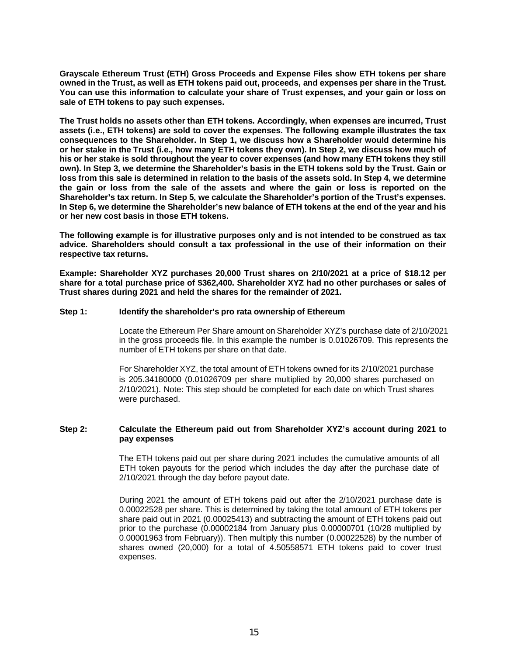**Grayscale Ethereum Trust (ETH) Gross Proceeds and Expense Files show ETH tokens per share owned in the Trust, as well as ETH tokens paid out, proceeds, and expenses per share in the Trust. You can use this information to calculate your share of Trust expenses, and your gain or loss on sale of ETH tokens to pay such expenses.**

**The Trust holds no assets other than ETH tokens. Accordingly, when expenses are incurred, Trust assets (i.e., ETH tokens) are sold to cover the expenses. The following example illustrates the tax consequences to the Shareholder. In Step 1, we discuss how a Shareholder would determine his or her stake in the Trust (i.e., how many ETH tokens they own). In Step 2, we discuss how much of his or her stake is sold throughout the year to cover expenses (and how many ETH tokens they still own). In Step 3, we determine the Shareholder's basis in the ETH tokens sold by the Trust. Gain or loss from this sale is determined in relation to the basis of the assets sold. In Step 4, we determine the gain or loss from the sale of the assets and where the gain or loss is reported on the Shareholder's tax return. In Step 5, we calculate the Shareholder's portion of the Trust's expenses. In Step 6, we determine the Shareholder's new balance of ETH tokens at the end of the year and his or her new cost basis in those ETH tokens.**

**The following example is for illustrative purposes only and is not intended to be construed as tax advice. Shareholders should consult a tax professional in the use of their information on their respective tax returns.**

**Example: Shareholder XYZ purchases 20,000 Trust shares on 2/10/2021 at a price of \$18.12 per share for a total purchase price of \$362,400. Shareholder XYZ had no other purchases or sales of Trust shares during 2021 and held the shares for the remainder of 2021.**

### **Step 1: Identify the shareholder's pro rata ownership of Ethereum**

Locate the Ethereum Per Share amount on Shareholder XYZ's purchase date of 2/10/2021 in the gross proceeds file. In this example the number is 0.01026709. This represents the number of ETH tokens per share on that date.

For Shareholder XYZ, the total amount of ETH tokens owned for its 2/10/2021 purchase is 205.34180000 (0.01026709 per share multiplied by 20,000 shares purchased on 2/10/2021). Note: This step should be completed for each date on which Trust shares were purchased.

### **Step 2: Calculate the Ethereum paid out from Shareholder XYZ's account during 2021 to pay expenses**

The ETH tokens paid out per share during 2021 includes the cumulative amounts of all ETH token payouts for the period which includes the day after the purchase date of 2/10/2021 through the day before payout date.

During 2021 the amount of ETH tokens paid out after the 2/10/2021 purchase date is 0.00022528 per share. This is determined by taking the total amount of ETH tokens per share paid out in 2021 (0.00025413) and subtracting the amount of ETH tokens paid out prior to the purchase (0.00002184 from January plus 0.00000701 (10/28 multiplied by 0.00001963 from February)). Then multiply this number (0.00022528) by the number of shares owned (20,000) for a total of 4.50558571 ETH tokens paid to cover trust expenses.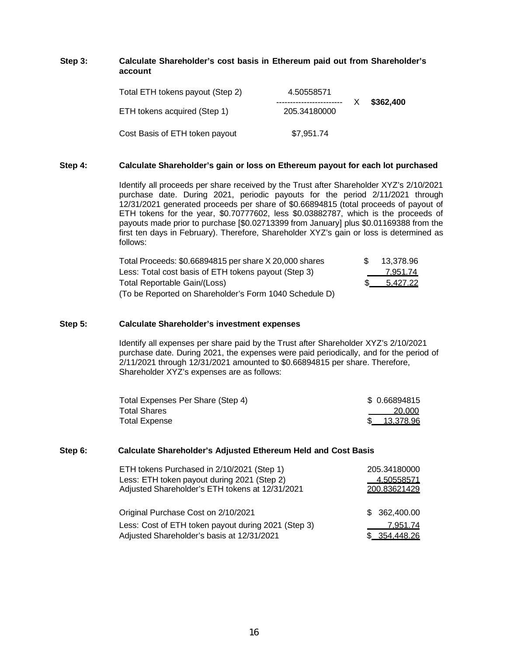### **Step 3: Calculate Shareholder's cost basis in Ethereum paid out from Shareholder's account**

| Total ETH tokens payout (Step 2) | 4.50558571<br>------------------------- | \$362,400 |
|----------------------------------|-----------------------------------------|-----------|
| ETH tokens acquired (Step 1)     | 205.34180000                            |           |
| Cost Basis of ETH token payout   | \$7,951.74                              |           |

#### **Step 4: Calculate Shareholder's gain or loss on Ethereum payout for each lot purchased**

Identify all proceeds per share received by the Trust after Shareholder XYZ's 2/10/2021 purchase date. During 2021, periodic payouts for the period 2/11/2021 through 12/31/2021 generated proceeds per share of \$0.66894815 (total proceeds of payout of ETH tokens for the year, \$0.70777602, less \$0.03882787, which is the proceeds of payouts made prior to purchase [\$0.02713399 from January] plus \$0.01169388 from the first ten days in February). Therefore, Shareholder XYZ's gain or loss is determined as follows:

| Total Proceeds: \$0.66894815 per share X 20,000 shares | $\mathcal{F}$ | 13.378.96 |
|--------------------------------------------------------|---------------|-----------|
| Less: Total cost basis of ETH tokens payout (Step 3)   |               | 7,951.74  |
| Total Reportable Gain/(Loss)                           |               | 5.427.22  |
| (To be Reported on Shareholder's Form 1040 Schedule D) |               |           |

### **Step 5: Calculate Shareholder's investment expenses**

Identify all expenses per share paid by the Trust after Shareholder XYZ's 2/10/2021 purchase date. During 2021, the expenses were paid periodically, and for the period of 2/11/2021 through 12/31/2021 amounted to \$0.66894815 per share. Therefore, Shareholder XYZ's expenses are as follows:

| Total Expenses Per Share (Step 4) | \$ 0.66894815 |
|-----------------------------------|---------------|
| <b>Total Shares</b>               | 20.000        |
| <b>Total Expense</b>              | 13,378.96     |

#### **Step 6: Calculate Shareholder's Adjusted Ethereum Held and Cost Basis**

| ETH tokens Purchased in 2/10/2021 (Step 1)          | 205.34180000      |
|-----------------------------------------------------|-------------------|
| Less: ETH token payout during 2021 (Step 2)         | <u>4.50558571</u> |
| Adjusted Shareholder's ETH tokens at 12/31/2021     | 200.83621429      |
|                                                     |                   |
| Original Purchase Cost on 2/10/2021                 | \$362,400.00      |
| Less: Cost of ETH token payout during 2021 (Step 3) | 7.951.74          |
| Adjusted Shareholder's basis at 12/31/2021          | \$ 354,448.26     |